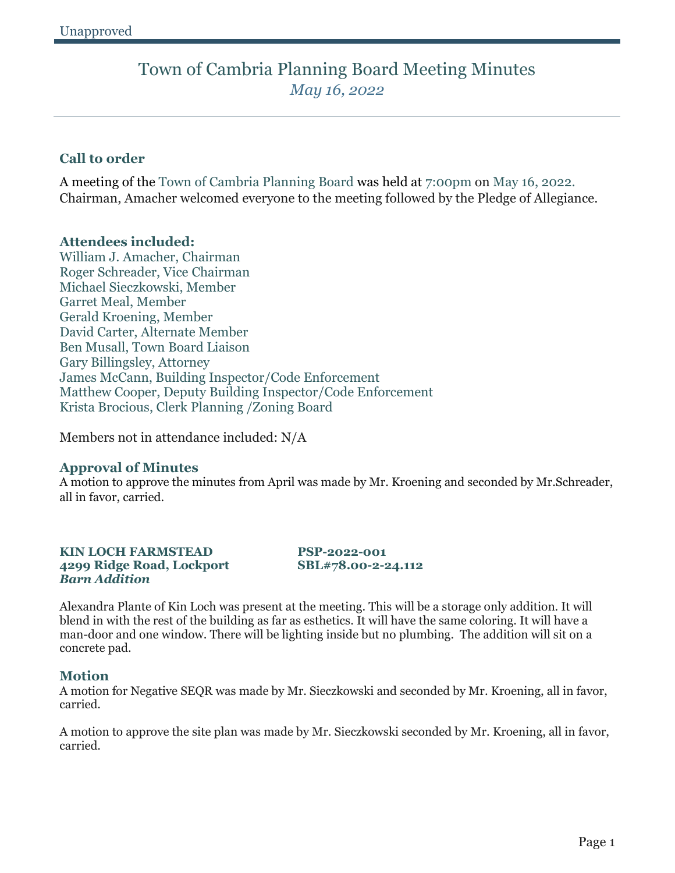### **Call to order**

A meeting of the Town of Cambria Planning Board was held at 7:00pm on May 16, 2022. Chairman, Amacher welcomed everyone to the meeting followed by the Pledge of Allegiance.

### **Attendees included:**

William J. Amacher, Chairman Roger Schreader, Vice Chairman Michael Sieczkowski, Member Garret Meal, Member Gerald Kroening, Member David Carter, Alternate Member Ben Musall, Town Board Liaison Gary Billingsley, Attorney James McCann, Building Inspector/Code Enforcement Matthew Cooper, Deputy Building Inspector/Code Enforcement Krista Brocious, Clerk Planning /Zoning Board

Members not in attendance included: N/A

### **Approval of Minutes**

A motion to approve the minutes from April was made by Mr. Kroening and seconded by Mr.Schreader, all in favor, carried.

#### **KIN LOCH FARMSTEAD PSP-2022-001 4299 Ridge Road, Lockport SBL#78.00-2-24.112** *Barn Addition*

Alexandra Plante of Kin Loch was present at the meeting. This will be a storage only addition. It will blend in with the rest of the building as far as esthetics. It will have the same coloring. It will have a man-door and one window. There will be lighting inside but no plumbing. The addition will sit on a concrete pad.

### **Motion**

A motion for Negative SEQR was made by Mr. Sieczkowski and seconded by Mr. Kroening, all in favor, carried.

A motion to approve the site plan was made by Mr. Sieczkowski seconded by Mr. Kroening, all in favor, carried.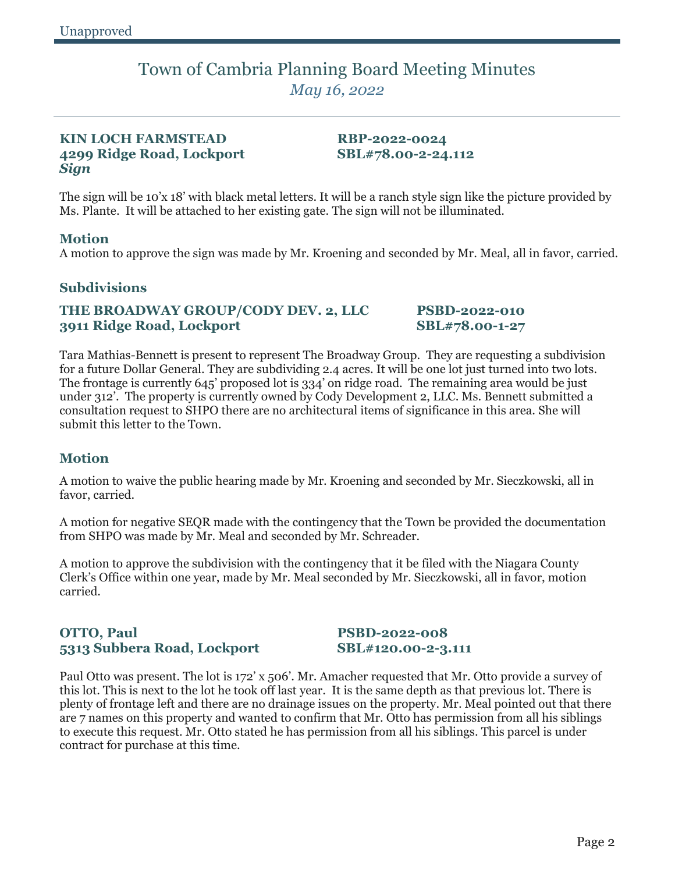### **KIN LOCH FARMSTEAD RBP-2022-0024 4299 Ridge Road, Lockport SBL#78.00-2-24.112** *Sign*

The sign will be 10'x 18' with black metal letters. It will be a ranch style sign like the picture provided by Ms. Plante. It will be attached to her existing gate. The sign will not be illuminated.

### **Motion**

A motion to approve the sign was made by Mr. Kroening and seconded by Mr. Meal, all in favor, carried.

### **Subdivisions**

### **THE BROADWAY GROUP/CODY DEV. 2, LLC PSBD-2022-010 3911 Ridge Road, Lockport SBL#78.00-1-27**

Tara Mathias-Bennett is present to represent The Broadway Group. They are requesting a subdivision for a future Dollar General. They are subdividing 2.4 acres. It will be one lot just turned into two lots. The frontage is currently 645' proposed lot is 334' on ridge road. The remaining area would be just under 312'. The property is currently owned by Cody Development 2, LLC. Ms. Bennett submitted a consultation request to SHPO there are no architectural items of significance in this area. She will submit this letter to the Town.

### **Motion**

A motion to waive the public hearing made by Mr. Kroening and seconded by Mr. Sieczkowski, all in favor, carried.

A motion for negative SEQR made with the contingency that the Town be provided the documentation from SHPO was made by Mr. Meal and seconded by Mr. Schreader.

A motion to approve the subdivision with the contingency that it be filed with the Niagara County Clerk's Office within one year, made by Mr. Meal seconded by Mr. Sieczkowski, all in favor, motion carried.

### **OTTO, Paul PSBD-2022-008 5313 Subbera Road, Lockport SBL#120.00-2-3.111**

Paul Otto was present. The lot is 172' x 506'. Mr. Amacher requested that Mr. Otto provide a survey of this lot. This is next to the lot he took off last year. It is the same depth as that previous lot. There is plenty of frontage left and there are no drainage issues on the property. Mr. Meal pointed out that there are 7 names on this property and wanted to confirm that Mr. Otto has permission from all his siblings to execute this request. Mr. Otto stated he has permission from all his siblings. This parcel is under contract for purchase at this time.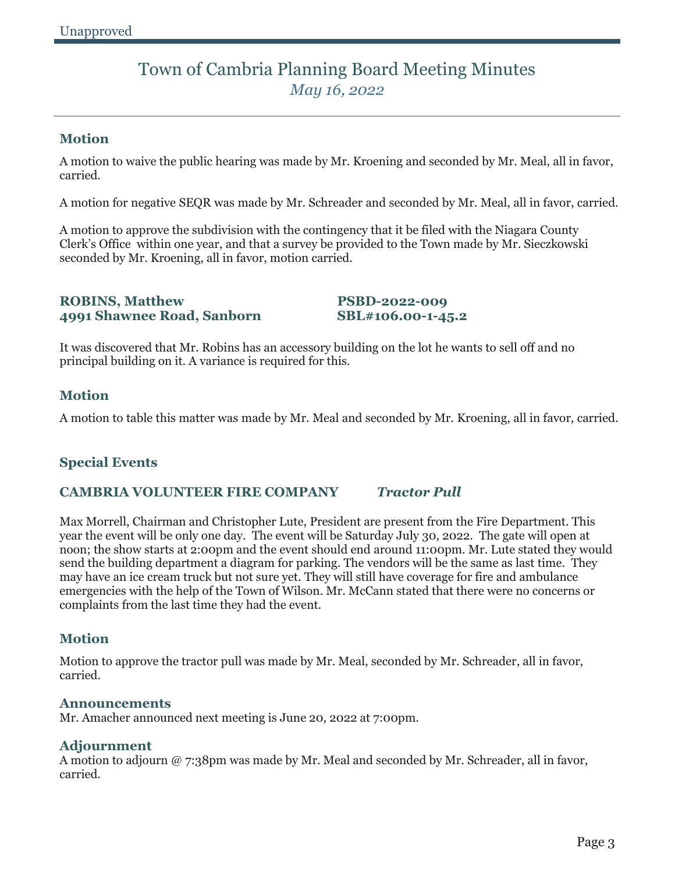### **Motion**

A motion to waive the public hearing was made by Mr. Kroening and seconded by Mr. Meal, all in favor, carried.

A motion for negative SEQR was made by Mr. Schreader and seconded by Mr. Meal, all in favor, carried.

A motion to approve the subdivision with the contingency that it be filed with the Niagara County Clerk's Office within one year, and that a survey be provided to the Town made by Mr. Sieczkowski seconded by Mr. Kroening, all in favor, motion carried.

#### **ROBINS, Matthew PSBD-2022-009 4991 Shawnee Road, Sanborn SBL#106.00-1-45.2**

It was discovered that Mr. Robins has an accessory building on the lot he wants to sell off and no principal building on it. A variance is required for this.

### **Motion**

A motion to table this matter was made by Mr. Meal and seconded by Mr. Kroening, all in favor, carried.

### **Special Events**

### **CAMBRIA VOLUNTEER FIRE COMPANY** *Tractor Pull*

Max Morrell, Chairman and Christopher Lute, President are present from the Fire Department. This year the event will be only one day. The event will be Saturday July 30, 2022. The gate will open at noon; the show starts at 2:00pm and the event should end around 11:00pm. Mr. Lute stated they would send the building department a diagram for parking. The vendors will be the same as last time. They may have an ice cream truck but not sure yet. They will still have coverage for fire and ambulance emergencies with the help of the Town of Wilson. Mr. McCann stated that there were no concerns or complaints from the last time they had the event.

### **Motion**

Motion to approve the tractor pull was made by Mr. Meal, seconded by Mr. Schreader, all in favor, carried.

#### **Announcements**

Mr. Amacher announced next meeting is June 20, 2022 at 7:00pm.

#### **Adjournment**

A motion to adjourn @ 7:38pm was made by Mr. Meal and seconded by Mr. Schreader, all in favor, carried.